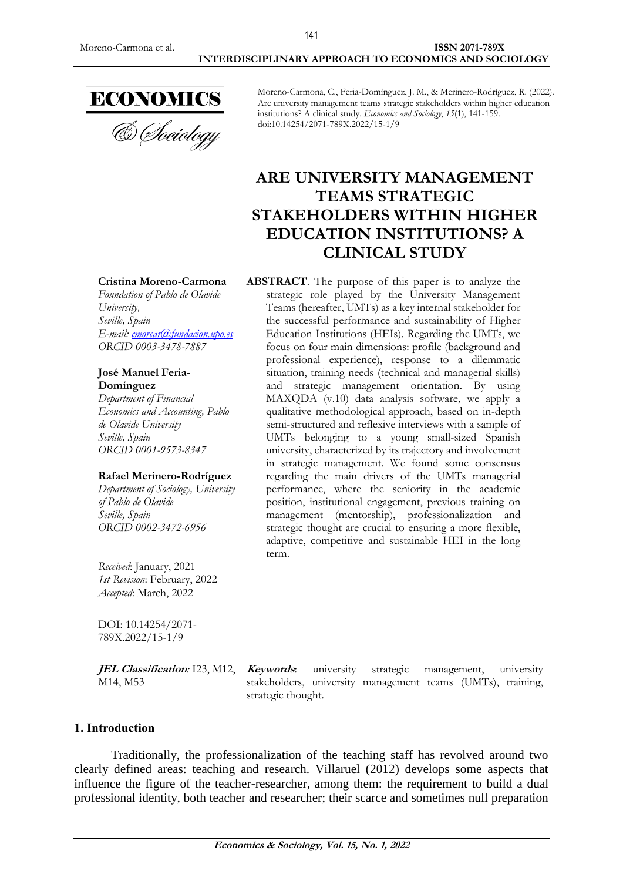

& Sociology

Moreno-Carmona, C., Feria-Domínguez, J. M., & Merinero-Rodríguez, R. (2022). Are university management teams strategic stakeholders within higher education institutions? A clinical study. *Economics and Sociology*, *15*(1), 141-159. doi:10.14254/2071-789X.2022/15-1/9

# **ARE UNIVERSITY MANAGEMENT TEAMS STRATEGIC STAKEHOLDERS WITHIN HIGHER EDUCATION INSTITUTIONS? A CLINICAL STUDY**

**ABSTRACT**. The purpose of this paper is to analyze the strategic role played by the University Management Teams (hereafter, UMTs) as a key internal stakeholder for the successful performance and sustainability of Higher Education Institutions (HEIs). Regarding the UMTs, we focus on four main dimensions: profile (background and professional experience), response to a dilemmatic situation, training needs (technical and managerial skills) and strategic management orientation. By using MAXQDA (v.10) data analysis software, we apply a qualitative methodological approach, based on in-depth semi-structured and reflexive interviews with a sample of UMTs belonging to a young small-sized Spanish university, characterized by its trajectory and involvement in strategic management. We found some consensus regarding the main drivers of the UMTs managerial performance, where the seniority in the academic position, institutional engagement, previous training on management (mentorship), professionalization and strategic thought are crucial to ensuring a more flexible, adaptive, competitive and sustainable HEI in the long term.

**Cristina Moreno-Carmona**

*Foundation of Pablo de Olavide University, Seville, Spain E-mail: [cmorcar@fundacion.upo.es](mailto:cmorcar@fundacion.upo.es) ORCID 0003-3478-7887*

#### **José Manuel Feria-Domínguez**

*Department of Financial Economics and Accounting, Pablo de Olavide University Seville, Spain ORCID 0001-9573-8347*

#### **Rafael Merinero-Rodríguez**

*Department of Sociology, University of Pablo de Olavide Seville, Spain ORCID 0002-3472-6956*

*Received*: January, 2021 *1st Revision*: February, 2022 *Accepted*: March, 2022

DOI: 10.14254/2071- 789X.2022/15-1/9

**JEL Classification:** I23, M12, *Keywords*: M14, M53

**Keywords**: university strategic management, university stakeholders, university management teams (UMTs), training, strategic thought.

# **1. Introduction**

Traditionally, the professionalization of the teaching staff has revolved around two clearly defined areas: teaching and research. Villaruel (2012) develops some aspects that influence the figure of the teacher-researcher, among them: the requirement to build a dual professional identity, both teacher and researcher; their scarce and sometimes null preparation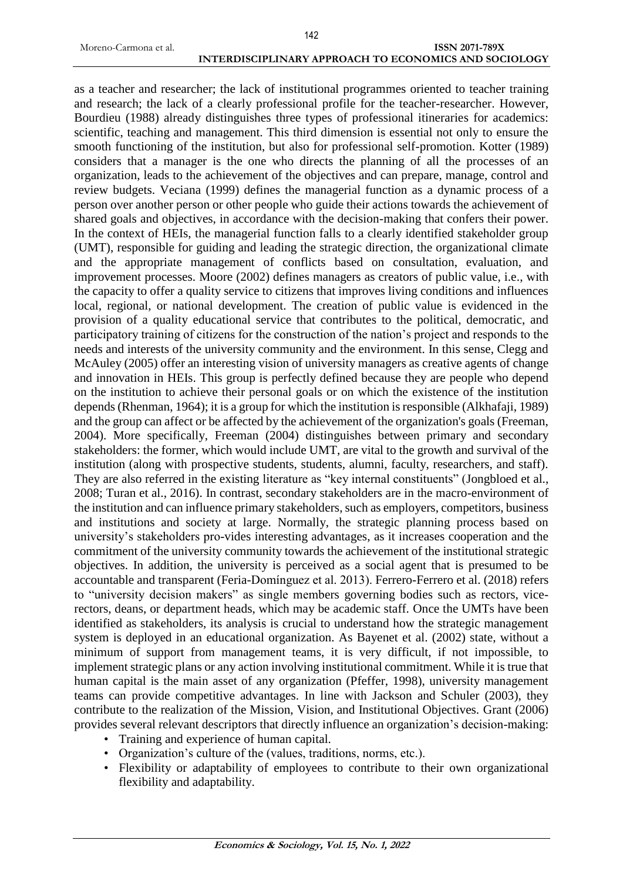## Moreno-Carmona et al. **ISSN 2071-789X INTERDISCIPLINARY APPROACH TO ECONOMICS AND SOCIOLOGY**

as a teacher and researcher; the lack of institutional programmes oriented to teacher training and research; the lack of a clearly professional profile for the teacher-researcher. However, Bourdieu (1988) already distinguishes three types of professional itineraries for academics: scientific, teaching and management. This third dimension is essential not only to ensure the smooth functioning of the institution, but also for professional self-promotion. Kotter (1989) considers that a manager is the one who directs the planning of all the processes of an organization, leads to the achievement of the objectives and can prepare, manage, control and review budgets. Veciana (1999) defines the managerial function as a dynamic process of a person over another person or other people who guide their actions towards the achievement of shared goals and objectives, in accordance with the decision-making that confers their power. In the context of HEIs, the managerial function falls to a clearly identified stakeholder group (UMT), responsible for guiding and leading the strategic direction, the organizational climate and the appropriate management of conflicts based on consultation, evaluation, and improvement processes. Moore (2002) defines managers as creators of public value, i.e., with the capacity to offer a quality service to citizens that improves living conditions and influences local, regional, or national development. The creation of public value is evidenced in the provision of a quality educational service that contributes to the political, democratic, and participatory training of citizens for the construction of the nation's project and responds to the needs and interests of the university community and the environment. In this sense, Clegg and McAuley (2005) offer an interesting vision of university managers as creative agents of change and innovation in HEIs. This group is perfectly defined because they are people who depend on the institution to achieve their personal goals or on which the existence of the institution depends (Rhenman, 1964); it is a group for which the institution is responsible (Alkhafaji, 1989) and the group can affect or be affected by the achievement of the organization's goals (Freeman, 2004). More specifically, Freeman (2004) distinguishes between primary and secondary stakeholders: the former, which would include UMT, are vital to the growth and survival of the institution (along with prospective students, students, alumni, faculty, researchers, and staff). They are also referred in the existing literature as "key internal constituents" (Jongbloed et al., 2008; Turan et al., 2016). In contrast, secondary stakeholders are in the macro-environment of the institution and can influence primary stakeholders, such as employers, competitors, business and institutions and society at large. Normally, the strategic planning process based on university's stakeholders pro-vides interesting advantages, as it increases cooperation and the commitment of the university community towards the achievement of the institutional strategic objectives. In addition, the university is perceived as a social agent that is presumed to be accountable and transparent (Feria-Domínguez et al. 2013). Ferrero-Ferrero et al. (2018) refers to "university decision makers" as single members governing bodies such as rectors, vicerectors, deans, or department heads, which may be academic staff. Once the UMTs have been identified as stakeholders, its analysis is crucial to understand how the strategic management system is deployed in an educational organization. As Bayenet et al. (2002) state, without a minimum of support from management teams, it is very difficult, if not impossible, to implement strategic plans or any action involving institutional commitment. While it is true that human capital is the main asset of any organization (Pfeffer, 1998), university management teams can provide competitive advantages. In line with Jackson and Schuler (2003), they contribute to the realization of the Mission, Vision, and Institutional Objectives. Grant (2006) provides several relevant descriptors that directly influence an organization's decision-making:

- Training and experience of human capital.
- Organization's culture of the (values, traditions, norms, etc.).
- Flexibility or adaptability of employees to contribute to their own organizational flexibility and adaptability.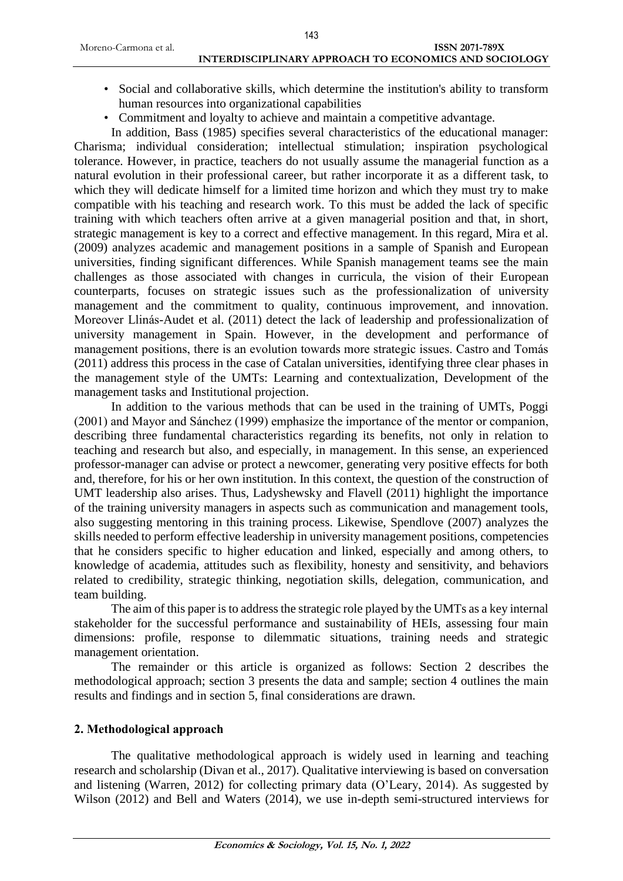- Social and collaborative skills, which determine the institution's ability to transform human resources into organizational capabilities
- Commitment and loyalty to achieve and maintain a competitive advantage.

In addition, Bass (1985) specifies several characteristics of the educational manager: Charisma; individual consideration; intellectual stimulation; inspiration psychological tolerance. However, in practice, teachers do not usually assume the managerial function as a natural evolution in their professional career, but rather incorporate it as a different task, to which they will dedicate himself for a limited time horizon and which they must try to make compatible with his teaching and research work. To this must be added the lack of specific training with which teachers often arrive at a given managerial position and that, in short, strategic management is key to a correct and effective management. In this regard, Mira et al. (2009) analyzes academic and management positions in a sample of Spanish and European universities, finding significant differences. While Spanish management teams see the main challenges as those associated with changes in curricula, the vision of their European counterparts, focuses on strategic issues such as the professionalization of university management and the commitment to quality, continuous improvement, and innovation. Moreover Llinás-Audet et al. (2011) detect the lack of leadership and professionalization of university management in Spain. However, in the development and performance of management positions, there is an evolution towards more strategic issues. Castro and Tomás (2011) address this process in the case of Catalan universities, identifying three clear phases in the management style of the UMTs: Learning and contextualization, Development of the management tasks and Institutional projection.

In addition to the various methods that can be used in the training of UMTs, Poggi (2001) and Mayor and Sánchez (1999) emphasize the importance of the mentor or companion, describing three fundamental characteristics regarding its benefits, not only in relation to teaching and research but also, and especially, in management. In this sense, an experienced professor-manager can advise or protect a newcomer, generating very positive effects for both and, therefore, for his or her own institution. In this context, the question of the construction of UMT leadership also arises. Thus, Ladyshewsky and Flavell (2011) highlight the importance of the training university managers in aspects such as communication and management tools, also suggesting mentoring in this training process. Likewise, Spendlove (2007) analyzes the skills needed to perform effective leadership in university management positions, competencies that he considers specific to higher education and linked, especially and among others, to knowledge of academia, attitudes such as flexibility, honesty and sensitivity, and behaviors related to credibility, strategic thinking, negotiation skills, delegation, communication, and team building.

The aim of this paper is to address the strategic role played by the UMTs as a key internal stakeholder for the successful performance and sustainability of HEIs, assessing four main dimensions: profile, response to dilemmatic situations, training needs and strategic management orientation.

The remainder or this article is organized as follows: Section 2 describes the methodological approach; section 3 presents the data and sample; section 4 outlines the main results and findings and in section 5, final considerations are drawn.

# **2. Methodological approach**

The qualitative methodological approach is widely used in learning and teaching research and scholarship (Divan et al., 2017). Qualitative interviewing is based on conversation and listening (Warren, 2012) for collecting primary data (O'Leary, 2014). As suggested by Wilson (2012) and Bell and Waters (2014), we use in-depth semi-structured interviews for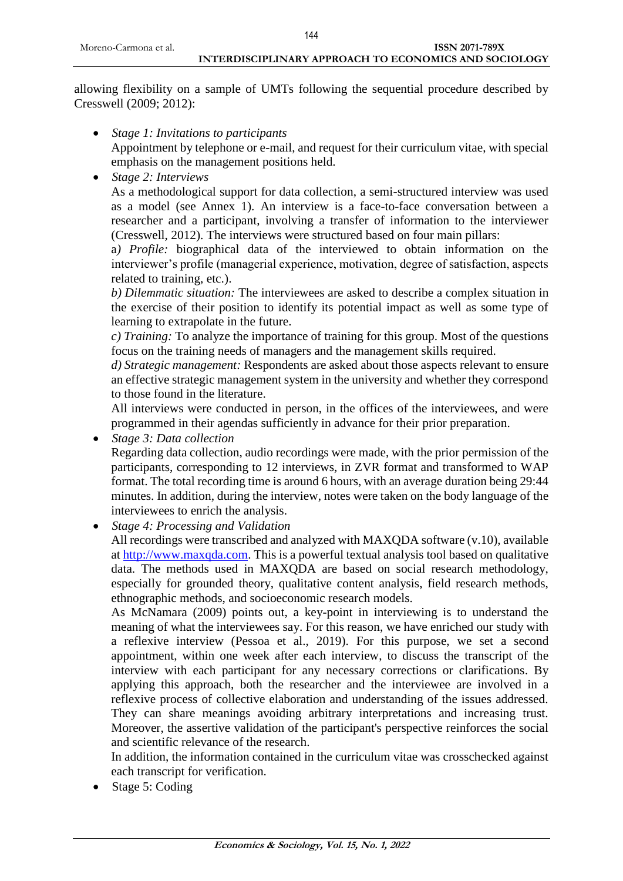# **INTERDISCIPLINARY APPROACH TO ECONOMICS AND SOCIOLOGY**

allowing flexibility on a sample of UMTs following the sequential procedure described by Cresswell (2009; 2012):

- *Stage 1: Invitations to participants* Appointment by telephone or e-mail, and request for their curriculum vitae, with special emphasis on the management positions held.
- *Stage 2: Interviews*

As a methodological support for data collection, a semi-structured interview was used as a model (see Annex 1). An interview is a face-to-face conversation between a researcher and a participant, involving a transfer of information to the interviewer (Cresswell, 2012). The interviews were structured based on four main pillars:

a*) Profile:* biographical data of the interviewed to obtain information on the interviewer's profile (managerial experience, motivation, degree of satisfaction, aspects related to training, etc.).

*b) Dilemmatic situation:* The interviewees are asked to describe a complex situation in the exercise of their position to identify its potential impact as well as some type of learning to extrapolate in the future.

*c) Training:* To analyze the importance of training for this group. Most of the questions focus on the training needs of managers and the management skills required.

*d) Strategic management:* Respondents are asked about those aspects relevant to ensure an effective strategic management system in the university and whether they correspond to those found in the literature.

All interviews were conducted in person, in the offices of the interviewees, and were programmed in their agendas sufficiently in advance for their prior preparation.

*Stage 3: Data collection*

Regarding data collection, audio recordings were made, with the prior permission of the participants, corresponding to 12 interviews, in ZVR format and transformed to WAP format. The total recording time is around 6 hours, with an average duration being 29:44 minutes. In addition, during the interview, notes were taken on the body language of the interviewees to enrich the analysis.

*Stage 4: Processing and Validation* 

All recordings were transcribed and analyzed with MAXQDA software (v.10), available at [http://www.maxqda.com.](http://www.maxqda.com/) This is a powerful textual analysis tool based on qualitative data. The methods used in MAXQDA are based on social research methodology, especially for grounded theory, qualitative content analysis, field research methods, ethnographic methods, and socioeconomic research models.

As McNamara (2009) points out, a key-point in interviewing is to understand the meaning of what the interviewees say. For this reason, we have enriched our study with a reflexive interview (Pessoa et al., 2019). For this purpose, we set a second appointment, within one week after each interview, to discuss the transcript of the interview with each participant for any necessary corrections or clarifications. By applying this approach, both the researcher and the interviewee are involved in a reflexive process of collective elaboration and understanding of the issues addressed. They can share meanings avoiding arbitrary interpretations and increasing trust. Moreover, the assertive validation of the participant's perspective reinforces the social and scientific relevance of the research.

In addition, the information contained in the curriculum vitae was crosschecked against each transcript for verification.

• Stage 5: Coding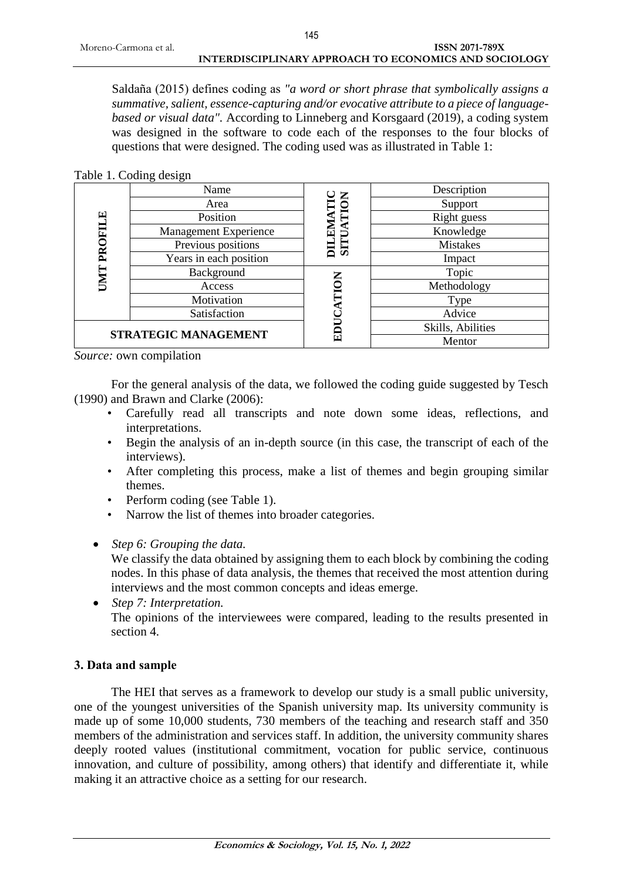Saldaña (2015) defines coding as *"a word or short phrase that symbolically assigns a summative, salient, essence-capturing and/or evocative attribute to a piece of languagebased or visual data".* According to Linneberg and Korsgaard (2019), a coding system was designed in the software to code each of the responses to the four blocks of questions that were designed. The coding used was as illustrated in Table 1:

#### Table 1. Coding design

| PROFILE<br><b>UMT</b>       | $\circ$<br>Name        |                   | Description       |
|-----------------------------|------------------------|-------------------|-------------------|
|                             | Area                   | DILEMATIC<br>TION | Support           |
|                             | Position               |                   | Right guess       |
|                             | Management Experience  |                   | Knowledge         |
|                             | Previous positions     | <b>SITUA</b>      | <b>Mistakes</b>   |
|                             | Years in each position |                   | Impact            |
|                             | Background             |                   | Topic             |
|                             | Access                 | $\mathsf{\Xi}$    | Methodology       |
|                             | Motivation             |                   | Type              |
|                             | Satisfaction           |                   | Advice            |
| <b>STRATEGIC MANAGEMENT</b> |                        | EDU               | Skills, Abilities |
|                             |                        |                   | Mentor            |

*Source:* own compilation

For the general analysis of the data, we followed the coding guide suggested by Tesch (1990) and Brawn and Clarke (2006):

- Carefully read all transcripts and note down some ideas, reflections, and interpretations.
- Begin the analysis of an in-depth source (in this case, the transcript of each of the interviews).
- After completing this process, make a list of themes and begin grouping similar themes.
- Perform coding (see Table 1).
- Narrow the list of themes into broader categories.
- *Step 6: Grouping the data.*

We classify the data obtained by assigning them to each block by combining the coding nodes. In this phase of data analysis, the themes that received the most attention during interviews and the most common concepts and ideas emerge.

 *Step 7: Interpretation.* The opinions of the interviewees were compared, leading to the results presented in section 4.

#### **3. Data and sample**

The HEI that serves as a framework to develop our study is a small public university, one of the youngest universities of the Spanish university map. Its university community is made up of some 10,000 students, 730 members of the teaching and research staff and 350 members of the administration and services staff. In addition, the university community shares deeply rooted values (institutional commitment, vocation for public service, continuous innovation, and culture of possibility, among others) that identify and differentiate it, while making it an attractive choice as a setting for our research.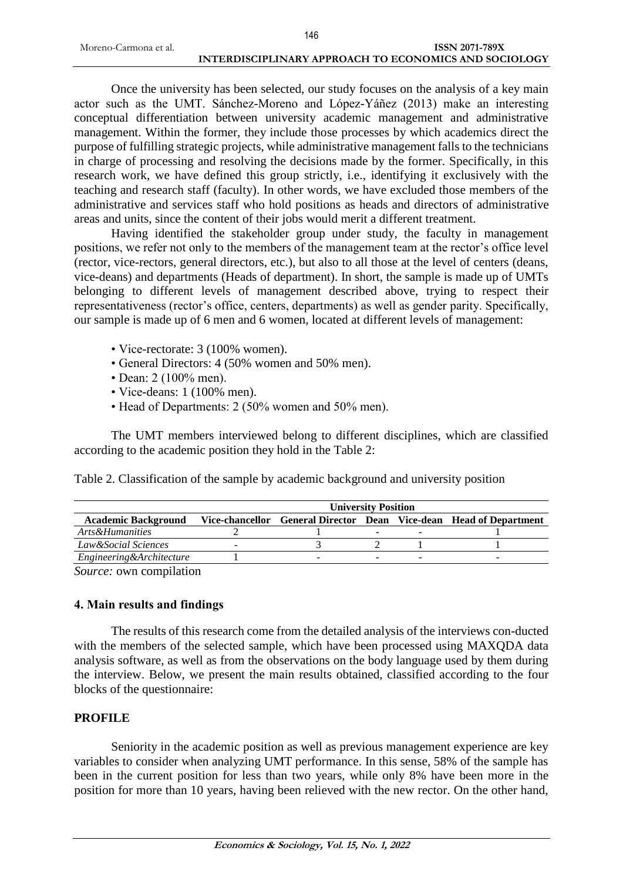Once the university has been selected, our study focuses on the analysis of a key main actor such as the UMT. Sánchez-Moreno and López-Yáñez (2013) make an interesting conceptual differentiation between university academic management and administrative management. Within the former, they include those processes by which academics direct the purpose of fulfilling strategic projects, while administrative management falls to the technicians in charge of processing and resolving the decisions made by the former. Specifically, in this research work, we have defined this group strictly, i.e., identifying it exclusively with the teaching and research staff (faculty). In other words, we have excluded those members of the administrative and services staff who hold positions as heads and directors of administrative areas and units, since the content of their jobs would merit a different treatment.

Having identified the stakeholder group under study, the faculty in management positions, we refer not only to the members of the management team at the rector's office level (rector, vice-rectors, general directors, etc.), but also to all those at the level of centers (deans, vice-deans) and departments (Heads of department). In short, the sample is made up of UMTs belonging to different levels of management described above, trying to respect their representativeness (rector's office, centers, departments) as well as gender parity. Specifically, our sample is made up of 6 men and 6 women, located at different levels of management:

- Vice-rectorate: 3 (100% women).
- General Directors: 4 (50% women and 50% men).
- Dean: 2 (100% men).
- Vice-deans: 1 (100% men).
- Head of Departments: 2 (50% women and 50% men).

The UMT members interviewed belong to different disciplines, which are classified according to the academic position they hold in the Table 2:

Table 2. Classification of the sample by academic background and university position

|                            | <b>University Position</b> |  |  |                          |                                                                    |
|----------------------------|----------------------------|--|--|--------------------------|--------------------------------------------------------------------|
| <b>Academic Background</b> |                            |  |  |                          | Vice-chancellor General Director Dean Vice-dean Head of Department |
| Arts&Humanities            |                            |  |  | $\overline{\phantom{0}}$ |                                                                    |
| Law&Social Sciences        |                            |  |  |                          |                                                                    |
| Engineering & Architecture |                            |  |  | -                        |                                                                    |
| $\sim$                     |                            |  |  |                          |                                                                    |

*Source:* own compilation

# **4. Main results and findings**

The results of this research come from the detailed analysis of the interviews con-ducted with the members of the selected sample, which have been processed using MAXQDA data analysis software, as well as from the observations on the body language used by them during the interview. Below, we present the main results obtained, classified according to the four blocks of the questionnaire:

# **PROFILE**

Seniority in the academic position as well as previous management experience are key variables to consider when analyzing UMT performance. In this sense, 58% of the sample has been in the current position for less than two years, while only 8% have been more in the position for more than 10 years, having been relieved with the new rector. On the other hand,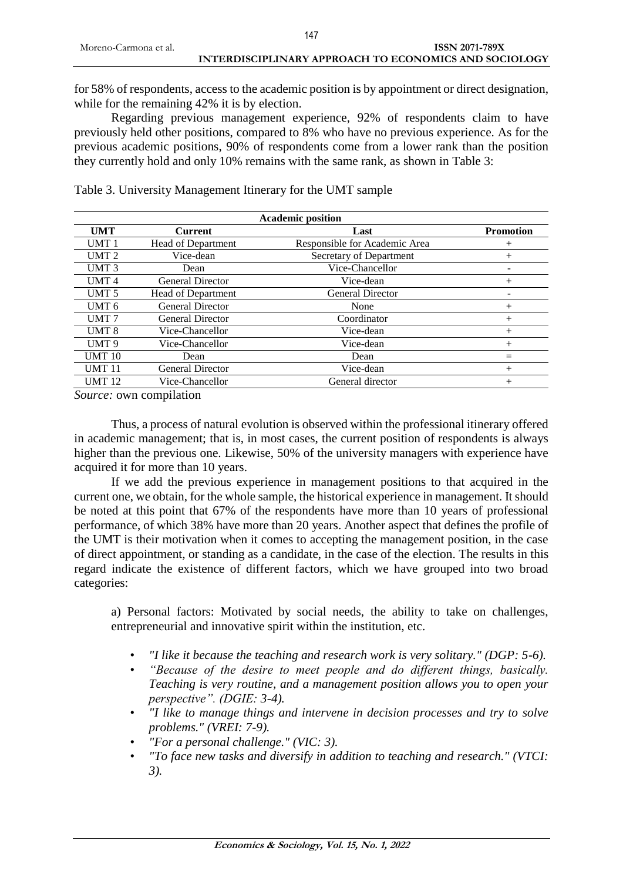for 58% of respondents, access to the academic position is by appointment or direct designation, while for the remaining 42% it is by election.

Regarding previous management experience, 92% of respondents claim to have previously held other positions, compared to 8% who have no previous experience. As for the previous academic positions, 90% of respondents come from a lower rank than the position they currently hold and only 10% remains with the same rank, as shown in Table 3:

Table 3. University Management Itinerary for the UMT sample

| <b>Academic position</b> |                         |                               |                  |  |  |
|--------------------------|-------------------------|-------------------------------|------------------|--|--|
| <b>UMT</b>               | <b>Current</b>          | Last                          | <b>Promotion</b> |  |  |
| UMT <sub>1</sub>         | Head of Department      | Responsible for Academic Area | $^+$             |  |  |
| UMT <sub>2</sub>         | Vice-dean               | Secretary of Department       | $\overline{+}$   |  |  |
| UMT <sub>3</sub>         | Dean                    | Vice-Chancellor               |                  |  |  |
| UMT <sub>4</sub>         | General Director        | Vice-dean                     | $^{+}$           |  |  |
| UMT <sub>5</sub>         | Head of Department      | <b>General Director</b>       |                  |  |  |
| UMT <sub>6</sub>         | <b>General Director</b> | None                          | $^{+}$           |  |  |
| UMT <sub>7</sub>         | <b>General Director</b> | Coordinator                   | $^{+}$           |  |  |
| UMT 8                    | Vice-Chancellor         | Vice-dean                     | $^{+}$           |  |  |
| UMT <sub>9</sub>         | Vice-Chancellor         | Vice-dean                     | $^{+}$           |  |  |
| <b>UMT 10</b>            | Dean                    | Dean                          | $=$              |  |  |
| <b>UMT11</b>             | <b>General Director</b> | Vice-dean                     | $+$              |  |  |
| <b>UMT 12</b>            | Vice-Chancellor         | General director              | $^{+}$           |  |  |

*Source:* own compilation

Thus, a process of natural evolution is observed within the professional itinerary offered in academic management; that is, in most cases, the current position of respondents is always higher than the previous one. Likewise, 50% of the university managers with experience have acquired it for more than 10 years.

If we add the previous experience in management positions to that acquired in the current one, we obtain, for the whole sample, the historical experience in management. It should be noted at this point that 67% of the respondents have more than 10 years of professional performance, of which 38% have more than 20 years. Another aspect that defines the profile of the UMT is their motivation when it comes to accepting the management position, in the case of direct appointment, or standing as a candidate, in the case of the election. The results in this regard indicate the existence of different factors, which we have grouped into two broad categories:

a) Personal factors: Motivated by social needs, the ability to take on challenges, entrepreneurial and innovative spirit within the institution, etc.

- *"I like it because the teaching and research work is very solitary." (DGP: 5-6).*
- *"Because of the desire to meet people and do different things, basically. Teaching is very routine, and a management position allows you to open your perspective". (DGIE: 3-4).*
- *"I like to manage things and intervene in decision processes and try to solve problems." (VREI: 7-9).*
- *"For a personal challenge." (VIC: 3).*
- *"To face new tasks and diversify in addition to teaching and research." (VTCI: 3).*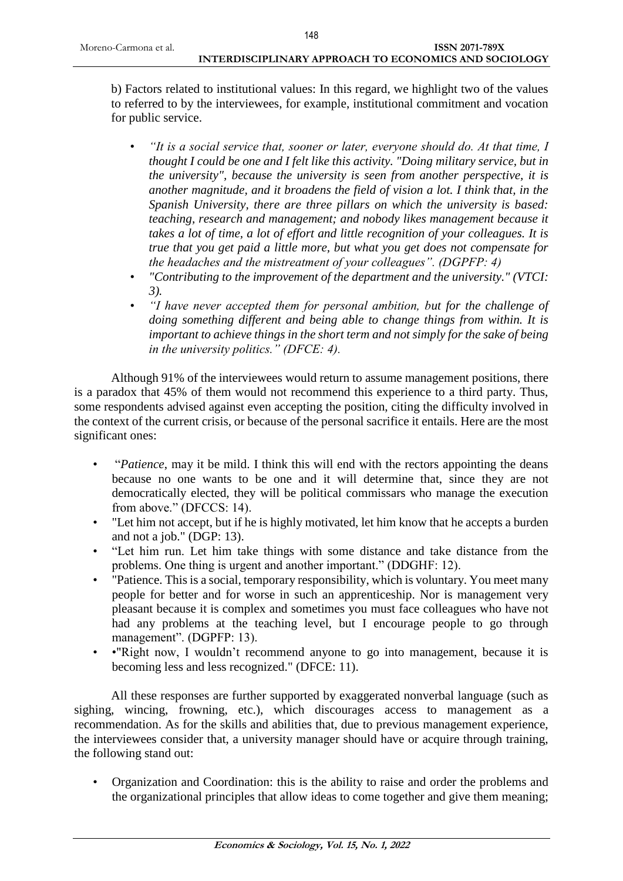b) Factors related to institutional values: In this regard, we highlight two of the values to referred to by the interviewees, for example, institutional commitment and vocation for public service.

- *"It is a social service that, sooner or later, everyone should do. At that time, I thought I could be one and I felt like this activity. "Doing military service, but in the university", because the university is seen from another perspective, it is another magnitude, and it broadens the field of vision a lot. I think that, in the Spanish University, there are three pillars on which the university is based: teaching, research and management; and nobody likes management because it takes a lot of time, a lot of effort and little recognition of your colleagues. It is true that you get paid a little more, but what you get does not compensate for the headaches and the mistreatment of your colleagues". (DGPFP: 4)*
- *"Contributing to the improvement of the department and the university." (VTCI: 3).*
- *"I have never accepted them for personal ambition, but for the challenge of doing something different and being able to change things from within. It is important to achieve things in the short term and not simply for the sake of being in the university politics." (DFCE: 4).*

Although 91% of the interviewees would return to assume management positions, there is a paradox that 45% of them would not recommend this experience to a third party. Thus, some respondents advised against even accepting the position, citing the difficulty involved in the context of the current crisis, or because of the personal sacrifice it entails. Here are the most significant ones:

- "*Patience*, may it be mild. I think this will end with the rectors appointing the deans because no one wants to be one and it will determine that, since they are not democratically elected, they will be political commissars who manage the execution from above." (DFCCS: 14).
- "Let him not accept, but if he is highly motivated, let him know that he accepts a burden and not a job." (DGP: 13).
- "Let him run. Let him take things with some distance and take distance from the problems. One thing is urgent and another important." (DDGHF: 12).
- "Patience. This is a social, temporary responsibility, which is voluntary. You meet many people for better and for worse in such an apprenticeship. Nor is management very pleasant because it is complex and sometimes you must face colleagues who have not had any problems at the teaching level, but I encourage people to go through management". (DGPFP: 13).
- •"Right now, I wouldn't recommend anyone to go into management, because it is becoming less and less recognized." (DFCE: 11).

All these responses are further supported by exaggerated nonverbal language (such as sighing, wincing, frowning, etc.), which discourages access to management as a recommendation. As for the skills and abilities that, due to previous management experience, the interviewees consider that, a university manager should have or acquire through training, the following stand out:

• Organization and Coordination: this is the ability to raise and order the problems and the organizational principles that allow ideas to come together and give them meaning;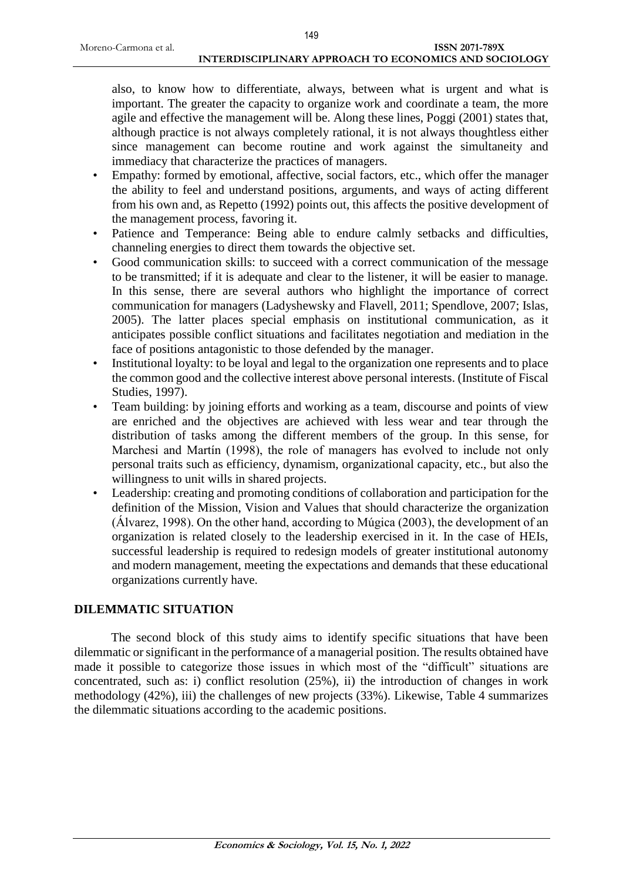also, to know how to differentiate, always, between what is urgent and what is important. The greater the capacity to organize work and coordinate a team, the more agile and effective the management will be. Along these lines, Poggi (2001) states that, although practice is not always completely rational, it is not always thoughtless either since management can become routine and work against the simultaneity and immediacy that characterize the practices of managers.

- Empathy: formed by emotional, affective, social factors, etc., which offer the manager the ability to feel and understand positions, arguments, and ways of acting different from his own and, as Repetto (1992) points out, this affects the positive development of the management process, favoring it.
- Patience and Temperance: Being able to endure calmly setbacks and difficulties, channeling energies to direct them towards the objective set.
- Good communication skills: to succeed with a correct communication of the message to be transmitted; if it is adequate and clear to the listener, it will be easier to manage. In this sense, there are several authors who highlight the importance of correct communication for managers (Ladyshewsky and Flavell, 2011; Spendlove, 2007; Islas, 2005). The latter places special emphasis on institutional communication, as it anticipates possible conflict situations and facilitates negotiation and mediation in the face of positions antagonistic to those defended by the manager.
- Institutional loyalty: to be loyal and legal to the organization one represents and to place the common good and the collective interest above personal interests. (Institute of Fiscal Studies, 1997).
- Team building: by joining efforts and working as a team, discourse and points of view are enriched and the objectives are achieved with less wear and tear through the distribution of tasks among the different members of the group. In this sense, for Marchesi and Martín (1998), the role of managers has evolved to include not only personal traits such as efficiency, dynamism, organizational capacity, etc., but also the willingness to unit wills in shared projects.
- Leadership: creating and promoting conditions of collaboration and participation for the definition of the Mission, Vision and Values that should characterize the organization (Álvarez, 1998). On the other hand, according to Múgica (2003), the development of an organization is related closely to the leadership exercised in it. In the case of HEIs, successful leadership is required to redesign models of greater institutional autonomy and modern management, meeting the expectations and demands that these educational organizations currently have.

# **DILEMMATIC SITUATION**

The second block of this study aims to identify specific situations that have been dilemmatic or significant in the performance of a managerial position. The results obtained have made it possible to categorize those issues in which most of the "difficult" situations are concentrated, such as: i) conflict resolution (25%), ii) the introduction of changes in work methodology (42%), iii) the challenges of new projects (33%). Likewise, Table 4 summarizes the dilemmatic situations according to the academic positions.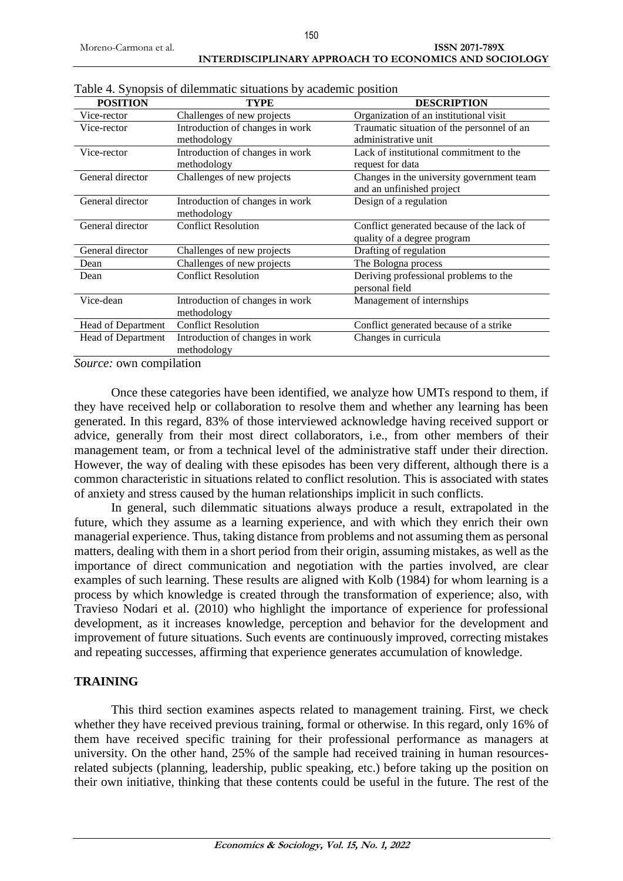| <b>POSITION</b>    | <b>TYPE</b>                     | <b>DESCRIPTION</b>                                                     |
|--------------------|---------------------------------|------------------------------------------------------------------------|
| Vice-rector        | Challenges of new projects      | Organization of an institutional visit                                 |
| Vice-rector        | Introduction of changes in work | Traumatic situation of the personnel of an                             |
|                    | methodology                     | administrative unit                                                    |
| Vice-rector        | Introduction of changes in work | Lack of institutional commitment to the                                |
|                    | methodology                     | request for data                                                       |
| General director   | Challenges of new projects      | Changes in the university government team<br>and an unfinished project |
| General director   | Introduction of changes in work | Design of a regulation                                                 |
|                    | methodology                     |                                                                        |
| General director   | <b>Conflict Resolution</b>      | Conflict generated because of the lack of                              |
|                    |                                 | quality of a degree program                                            |
| General director   | Challenges of new projects      | Drafting of regulation                                                 |
| Dean               | Challenges of new projects      | The Bologna process                                                    |
| Dean               | <b>Conflict Resolution</b>      | Deriving professional problems to the                                  |
|                    |                                 | personal field                                                         |
| Vice-dean          | Introduction of changes in work | Management of internships                                              |
|                    | methodology                     |                                                                        |
| Head of Department | <b>Conflict Resolution</b>      | Conflict generated because of a strike                                 |
| Head of Department | Introduction of changes in work | Changes in curricula                                                   |
|                    | methodology                     |                                                                        |

Table 4. Synopsis of dilemmatic situations by academic position

*Source:* own compilation

Once these categories have been identified, we analyze how UMTs respond to them, if they have received help or collaboration to resolve them and whether any learning has been generated. In this regard, 83% of those interviewed acknowledge having received support or advice, generally from their most direct collaborators, i.e., from other members of their management team, or from a technical level of the administrative staff under their direction. However, the way of dealing with these episodes has been very different, although there is a common characteristic in situations related to conflict resolution. This is associated with states of anxiety and stress caused by the human relationships implicit in such conflicts.

In general, such dilemmatic situations always produce a result, extrapolated in the future, which they assume as a learning experience, and with which they enrich their own managerial experience. Thus, taking distance from problems and not assuming them as personal matters, dealing with them in a short period from their origin, assuming mistakes, as well as the importance of direct communication and negotiation with the parties involved, are clear examples of such learning. These results are aligned with Kolb (1984) for whom learning is a process by which knowledge is created through the transformation of experience; also, with Travieso Nodari et al. (2010) who highlight the importance of experience for professional development, as it increases knowledge, perception and behavior for the development and improvement of future situations. Such events are continuously improved, correcting mistakes and repeating successes, affirming that experience generates accumulation of knowledge.

# **TRAINING**

This third section examines aspects related to management training. First, we check whether they have received previous training, formal or otherwise. In this regard, only 16% of them have received specific training for their professional performance as managers at university. On the other hand, 25% of the sample had received training in human resourcesrelated subjects (planning, leadership, public speaking, etc.) before taking up the position on their own initiative, thinking that these contents could be useful in the future. The rest of the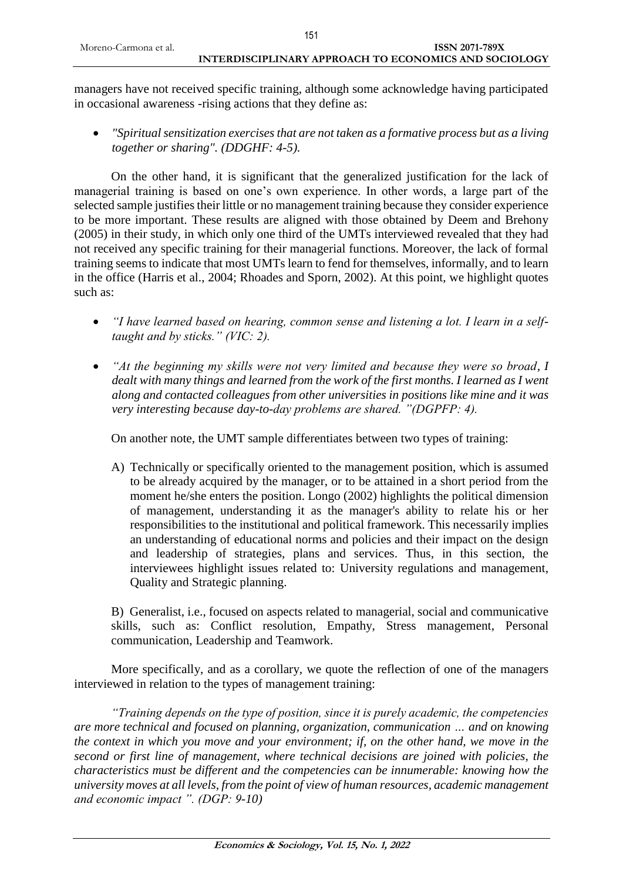managers have not received specific training, although some acknowledge having participated in occasional awareness -rising actions that they define as:

 *"Spiritual sensitization exercises that are not taken as a formative process but as a living together or sharing". (DDGHF: 4-5).*

On the other hand, it is significant that the generalized justification for the lack of managerial training is based on one's own experience. In other words, a large part of the selected sample justifies their little or no management training because they consider experience to be more important. These results are aligned with those obtained by Deem and Brehony (2005) in their study, in which only one third of the UMTs interviewed revealed that they had not received any specific training for their managerial functions. Moreover, the lack of formal training seems to indicate that most UMTs learn to fend for themselves, informally, and to learn in the office (Harris et al., 2004; Rhoades and Sporn, 2002). At this point, we highlight quotes such as:

- *"I have learned based on hearing, common sense and listening a lot. I learn in a selftaught and by sticks." (VIC: 2).*
- *"At the beginning my skills were not very limited and because they were so broad, I dealt with many things and learned from the work of the first months. I learned as I went along and contacted colleagues from other universities in positions like mine and it was very interesting because day-to-day problems are shared. "(DGPFP: 4).*

On another note, the UMT sample differentiates between two types of training:

A) Technically or specifically oriented to the management position, which is assumed to be already acquired by the manager, or to be attained in a short period from the moment he/she enters the position. Longo (2002) highlights the political dimension of management, understanding it as the manager's ability to relate his or her responsibilities to the institutional and political framework. This necessarily implies an understanding of educational norms and policies and their impact on the design and leadership of strategies, plans and services. Thus, in this section, the interviewees highlight issues related to: University regulations and management, Quality and Strategic planning.

B) Generalist, i.e., focused on aspects related to managerial, social and communicative skills, such as: Conflict resolution, Empathy, Stress management, Personal communication, Leadership and Teamwork.

More specifically, and as a corollary, we quote the reflection of one of the managers interviewed in relation to the types of management training:

*"Training depends on the type of position, since it is purely academic, the competencies are more technical and focused on planning, organization, communication … and on knowing the context in which you move and your environment; if, on the other hand, we move in the second or first line of management, where technical decisions are joined with policies, the characteristics must be different and the competencies can be innumerable: knowing how the university moves at all levels, from the point of view of human resources, academic management and economic impact ". (DGP: 9-10)*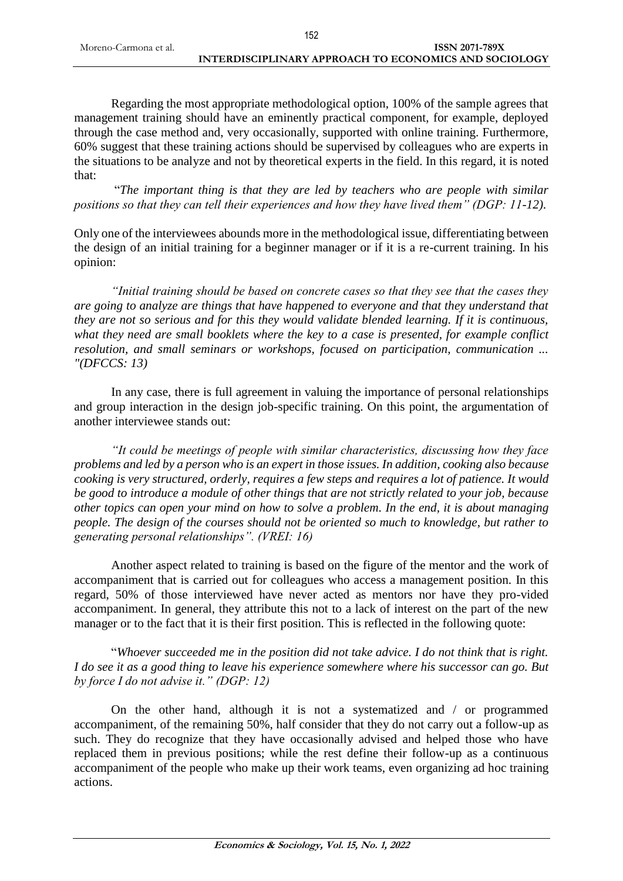Regarding the most appropriate methodological option, 100% of the sample agrees that management training should have an eminently practical component, for example, deployed through the case method and, very occasionally, supported with online training. Furthermore, 60% suggest that these training actions should be supervised by colleagues who are experts in the situations to be analyze and not by theoretical experts in the field. In this regard, it is noted that:

"*The important thing is that they are led by teachers who are people with similar positions so that they can tell their experiences and how they have lived them" (DGP: 11-12).*

Only one of the interviewees abounds more in the methodological issue, differentiating between the design of an initial training for a beginner manager or if it is a re-current training. In his opinion:

*"Initial training should be based on concrete cases so that they see that the cases they are going to analyze are things that have happened to everyone and that they understand that they are not so serious and for this they would validate blended learning. If it is continuous, what they need are small booklets where the key to a case is presented, for example conflict resolution, and small seminars or workshops, focused on participation, communication ... "(DFCCS: 13)*

In any case, there is full agreement in valuing the importance of personal relationships and group interaction in the design job-specific training. On this point, the argumentation of another interviewee stands out:

*"It could be meetings of people with similar characteristics, discussing how they face problems and led by a person who is an expert in those issues. In addition, cooking also because cooking is very structured, orderly, requires a few steps and requires a lot of patience. It would be good to introduce a module of other things that are not strictly related to your job, because other topics can open your mind on how to solve a problem. In the end, it is about managing people. The design of the courses should not be oriented so much to knowledge, but rather to generating personal relationships". (VREI: 16)*

Another aspect related to training is based on the figure of the mentor and the work of accompaniment that is carried out for colleagues who access a management position. In this regard, 50% of those interviewed have never acted as mentors nor have they pro-vided accompaniment. In general, they attribute this not to a lack of interest on the part of the new manager or to the fact that it is their first position. This is reflected in the following quote:

"*Whoever succeeded me in the position did not take advice. I do not think that is right. I do see it as a good thing to leave his experience somewhere where his successor can go. But by force I do not advise it." (DGP: 12)*

On the other hand, although it is not a systematized and / or programmed accompaniment, of the remaining 50%, half consider that they do not carry out a follow-up as such. They do recognize that they have occasionally advised and helped those who have replaced them in previous positions; while the rest define their follow-up as a continuous accompaniment of the people who make up their work teams, even organizing ad hoc training actions.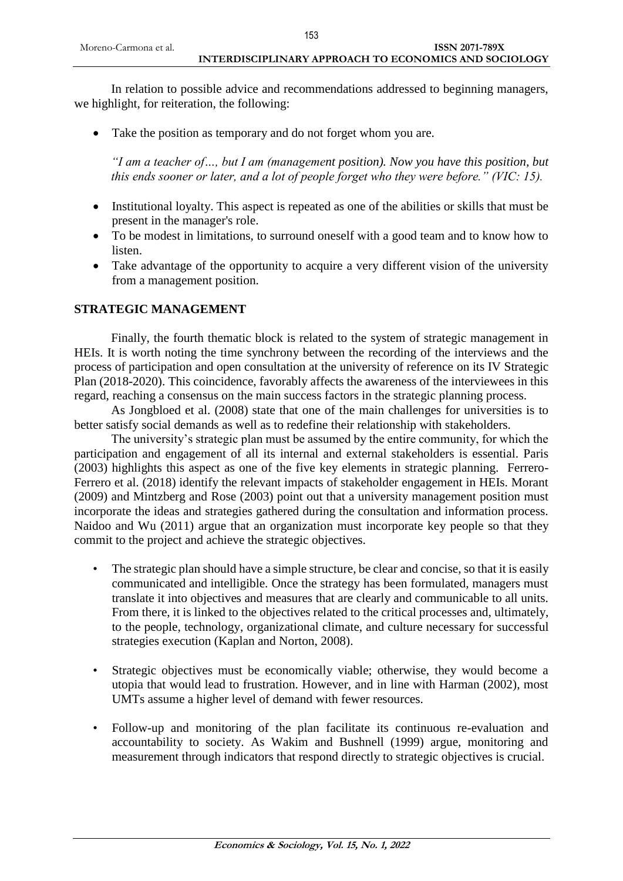In relation to possible advice and recommendations addressed to beginning managers, we highlight, for reiteration, the following:

• Take the position as temporary and do not forget whom you are.

*"I am a teacher of…, but I am (management position). Now you have this position, but this ends sooner or later, and a lot of people forget who they were before." (VIC: 15).*

- Institutional loyalty. This aspect is repeated as one of the abilities or skills that must be present in the manager's role.
- To be modest in limitations, to surround oneself with a good team and to know how to listen.
- Take advantage of the opportunity to acquire a very different vision of the university from a management position.

### **STRATEGIC MANAGEMENT**

Finally, the fourth thematic block is related to the system of strategic management in HEIs. It is worth noting the time synchrony between the recording of the interviews and the process of participation and open consultation at the university of reference on its IV Strategic Plan (2018-2020). This coincidence, favorably affects the awareness of the interviewees in this regard, reaching a consensus on the main success factors in the strategic planning process.

As Jongbloed et al. (2008) state that one of the main challenges for universities is to better satisfy social demands as well as to redefine their relationship with stakeholders.

The university's strategic plan must be assumed by the entire community, for which the participation and engagement of all its internal and external stakeholders is essential. Paris (2003) highlights this aspect as one of the five key elements in strategic planning. Ferrero-Ferrero et al. (2018) identify the relevant impacts of stakeholder engagement in HEIs. Morant (2009) and Mintzberg and Rose (2003) point out that a university management position must incorporate the ideas and strategies gathered during the consultation and information process. Naidoo and Wu (2011) argue that an organization must incorporate key people so that they commit to the project and achieve the strategic objectives.

- The strategic plan should have a simple structure, be clear and concise, so that it is easily communicated and intelligible. Once the strategy has been formulated, managers must translate it into objectives and measures that are clearly and communicable to all units. From there, it is linked to the objectives related to the critical processes and, ultimately, to the people, technology, organizational climate, and culture necessary for successful strategies execution (Kaplan and Norton, 2008).
- Strategic objectives must be economically viable; otherwise, they would become a utopia that would lead to frustration. However, and in line with Harman (2002), most UMTs assume a higher level of demand with fewer resources.
- Follow-up and monitoring of the plan facilitate its continuous re-evaluation and accountability to society. As Wakim and Bushnell (1999) argue, monitoring and measurement through indicators that respond directly to strategic objectives is crucial.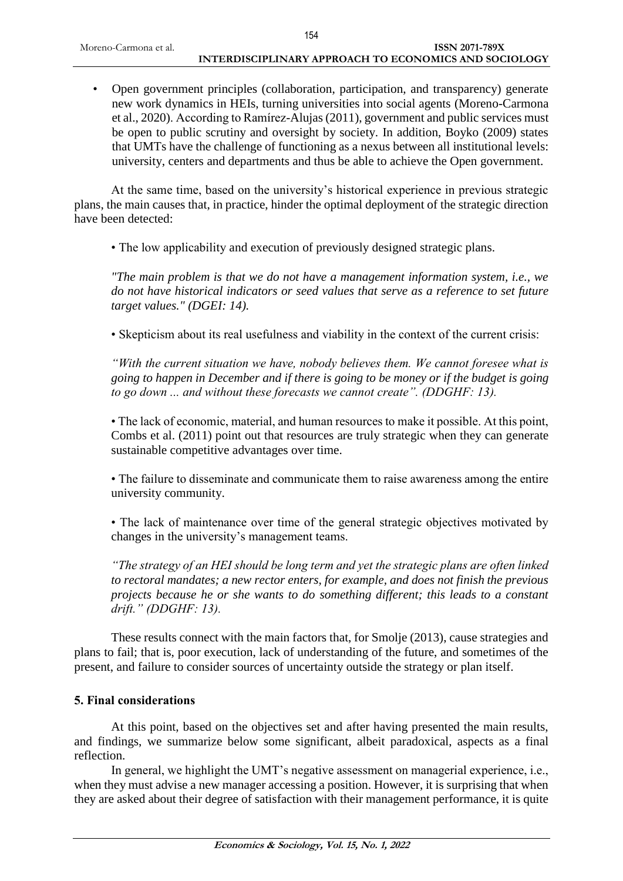• Open government principles (collaboration, participation, and transparency) generate new work dynamics in HEIs, turning universities into social agents (Moreno-Carmona et al., 2020). According to Ramírez-Alujas (2011), government and public services must be open to public scrutiny and oversight by society. In addition, Boyko (2009) states that UMTs have the challenge of functioning as a nexus between all institutional levels: university, centers and departments and thus be able to achieve the Open government.

At the same time, based on the university's historical experience in previous strategic plans, the main causes that, in practice, hinder the optimal deployment of the strategic direction have been detected:

• The low applicability and execution of previously designed strategic plans.

*"The main problem is that we do not have a management information system, i.e., we do not have historical indicators or seed values that serve as a reference to set future target values." (DGEI: 14).*

• Skepticism about its real usefulness and viability in the context of the current crisis:

*"With the current situation we have, nobody believes them. We cannot foresee what is going to happen in December and if there is going to be money or if the budget is going to go down ... and without these forecasts we cannot create". (DDGHF: 13).*

• The lack of economic, material, and human resources to make it possible. At this point, Combs et al. (2011) point out that resources are truly strategic when they can generate sustainable competitive advantages over time.

• The failure to disseminate and communicate them to raise awareness among the entire university community.

• The lack of maintenance over time of the general strategic objectives motivated by changes in the university's management teams.

*"The strategy of an HEI should be long term and yet the strategic plans are often linked to rectoral mandates; a new rector enters, for example, and does not finish the previous projects because he or she wants to do something different; this leads to a constant drift." (DDGHF: 13).*

These results connect with the main factors that, for Smolje (2013), cause strategies and plans to fail; that is, poor execution, lack of understanding of the future, and sometimes of the present, and failure to consider sources of uncertainty outside the strategy or plan itself.

#### **5. Final considerations**

At this point, based on the objectives set and after having presented the main results, and findings, we summarize below some significant, albeit paradoxical, aspects as a final reflection.

In general, we highlight the UMT's negative assessment on managerial experience, i.e., when they must advise a new manager accessing a position. However, it is surprising that when they are asked about their degree of satisfaction with their management performance, it is quite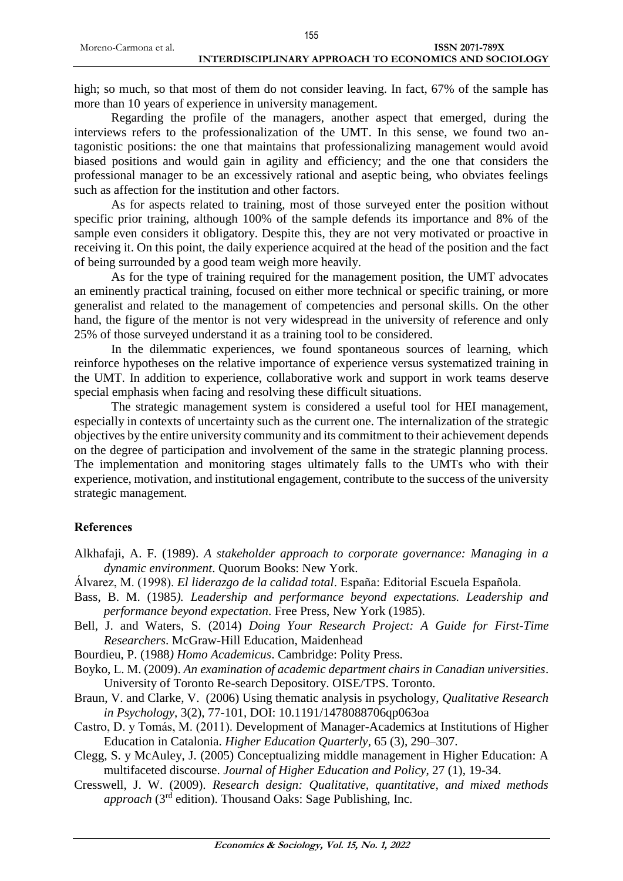high; so much, so that most of them do not consider leaving. In fact, 67% of the sample has

more than 10 years of experience in university management. Regarding the profile of the managers, another aspect that emerged, during the interviews refers to the professionalization of the UMT. In this sense, we found two antagonistic positions: the one that maintains that professionalizing management would avoid biased positions and would gain in agility and efficiency; and the one that considers the professional manager to be an excessively rational and aseptic being, who obviates feelings such as affection for the institution and other factors.

As for aspects related to training, most of those surveyed enter the position without specific prior training, although 100% of the sample defends its importance and 8% of the sample even considers it obligatory. Despite this, they are not very motivated or proactive in receiving it. On this point, the daily experience acquired at the head of the position and the fact of being surrounded by a good team weigh more heavily.

As for the type of training required for the management position, the UMT advocates an eminently practical training, focused on either more technical or specific training, or more generalist and related to the management of competencies and personal skills. On the other hand, the figure of the mentor is not very widespread in the university of reference and only 25% of those surveyed understand it as a training tool to be considered.

In the dilemmatic experiences, we found spontaneous sources of learning, which reinforce hypotheses on the relative importance of experience versus systematized training in the UMT. In addition to experience, collaborative work and support in work teams deserve special emphasis when facing and resolving these difficult situations.

The strategic management system is considered a useful tool for HEI management, especially in contexts of uncertainty such as the current one. The internalization of the strategic objectives by the entire university community and its commitment to their achievement depends on the degree of participation and involvement of the same in the strategic planning process. The implementation and monitoring stages ultimately falls to the UMTs who with their experience, motivation, and institutional engagement, contribute to the success of the university strategic management.

#### **References**

- Alkhafaji, A. F. (1989). *A stakeholder approach to corporate governance: Managing in a dynamic environment*. Quorum Books: New York.
- Álvarez, M. (1998). *El liderazgo de la calidad total*. España: Editorial Escuela Española.
- Bass, B. M. (1985*). Leadership and performance beyond expectations. Leadership and performance beyond expectation*. Free Press, New York (1985).
- Bell, J. and Waters, S. (2014) *Doing Your Research Project: A Guide for First-Time Researchers*. McGraw-Hill Education, Maidenhead
- Bourdieu, P. (1988*) Homo Academicus*. Cambridge: Polity Press.
- Boyko, L. M. (2009). *An examination of academic department chairs in Canadian universities*. University of Toronto Re-search Depository. OISE/TPS. Toronto.
- Braun, V. and Clarke, V. (2006) Using thematic analysis in psychology, *Qualitative Research in Psychology*, 3(2), 77-101, DOI: 10.1191/1478088706qp063oa
- Castro, D. y Tomás, M. (2011). Development of Manager-Academics at Institutions of Higher Education in Catalonia. *Higher Education Quarterly,* 65 (3), 290–307.
- Clegg, S. y McAuley, J. (2005) Conceptualizing middle management in Higher Education: A multifaceted discourse. *Journal of Higher Education and Policy*, 27 (1), 19-34.
- Cresswell, J. W. (2009). *Research design: Qualitative, quantitative, and mixed methods approach* (3rd edition). Thousand Oaks: Sage Publishing, Inc.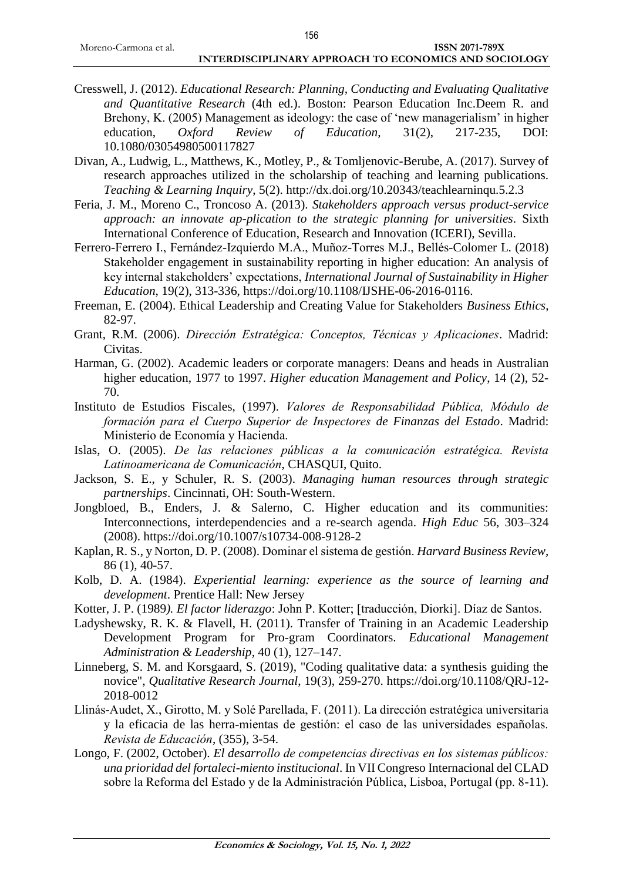- Cresswell, J. (2012). *Educational Research: Planning, Conducting and Evaluating Qualitative and Quantitative Research* (4th ed.). Boston: Pearson Education Inc.Deem R. and Brehony, K. (2005) Management as ideology: the case of 'new managerialism' in higher education, *Oxford Review of Education*, 31(2), 217-235, DOI: 10.1080/03054980500117827
- Divan, A., Ludwig, L., Matthews, K., Motley, P., & Tomljenovic-Berube, A. (2017). Survey of research approaches utilized in the scholarship of teaching and learning publications. *Teaching & Learning Inquiry*, 5(2). http://dx.doi.org/10.20343/teachlearninqu.5.2.3
- Feria, J. M., Moreno C., Troncoso A. (2013). *Stakeholders approach versus product-service approach: an innovate ap-plication to the strategic planning for universities*. Sixth International Conference of Education, Research and Innovation (ICERI), Sevilla.
- Ferrero-Ferrero I., Fernández-Izquierdo M.A., Muñoz-Torres M.J., Bellés-Colomer L. (2018) Stakeholder engagement in sustainability reporting in higher education: An analysis of key internal stakeholders' expectations, *International Journal of Sustainability in Higher Education*, 19(2), 313-336, https://doi.org/10.1108/IJSHE-06-2016-0116.
- Freeman, E. (2004). Ethical Leadership and Creating Value for Stakeholders *Business Ethics*, 82-97.
- Grant, R.M. (2006). *Dirección Estratégica: Conceptos, Técnicas y Aplicaciones*. Madrid: Civitas.
- Harman, G. (2002). Academic leaders or corporate managers: Deans and heads in Australian higher education, 1977 to 1997. *Higher education Management and Policy*, 14 (2), 52- 70.
- Instituto de Estudios Fiscales, (1997). *Valores de Responsabilidad Pública, Módulo de formación para el Cuerpo Superior de Inspectores de Finanzas del Estado*. Madrid: Ministerio de Economía y Hacienda.
- Islas, O. (2005). *De las relaciones públicas a la comunicación estratégica. Revista Latinoamericana de Comunicación*, CHASQUI, Quito.
- Jackson, S. E., y Schuler, R. S. (2003). *Managing human resources through strategic partnerships*. Cincinnati, OH: South-Western.
- Jongbloed, B., Enders, J. & Salerno, C. Higher education and its communities: Interconnections, interdependencies and a re-search agenda. *High Educ* 56, 303–324 (2008). https://doi.org/10.1007/s10734-008-9128-2
- Kaplan, R. S., y Norton, D. P. (2008). Dominar el sistema de gestión. *Harvard Business Review*, 86 (1), 40-57.
- Kolb, D. A. (1984). *Experiential learning: experience as the source of learning and development*. Prentice Hall: New Jersey
- Kotter, J. P. (1989*). El factor liderazgo*: John P. Kotter; [traducción, Diorki]. Díaz de Santos.
- Ladyshewsky, R. K. & Flavell, H. (2011). Transfer of Training in an Academic Leadership Development Program for Pro-gram Coordinators. *Educational Management Administration & Leadership*, 40 (1), 127–147.
- Linneberg, S. M. and Korsgaard, S. (2019), "Coding qualitative data: a synthesis guiding the novice", *Qualitative Research Journal*, 19(3), 259-270. https://doi.org/10.1108/QRJ-12- 2018-0012
- Llinás-Audet, X., Girotto, M. y Solé Parellada, F. (2011). La dirección estratégica universitaria y la eficacia de las herra-mientas de gestión: el caso de las universidades españolas. *Revista de Educación*, (355), 3-54.
- Longo, F. (2002, October). *El desarrollo de competencias directivas en los sistemas públicos: una prioridad del fortaleci-miento institucional*. In VII Congreso Internacional del CLAD sobre la Reforma del Estado y de la Administración Pública, Lisboa, Portugal (pp. 8-11).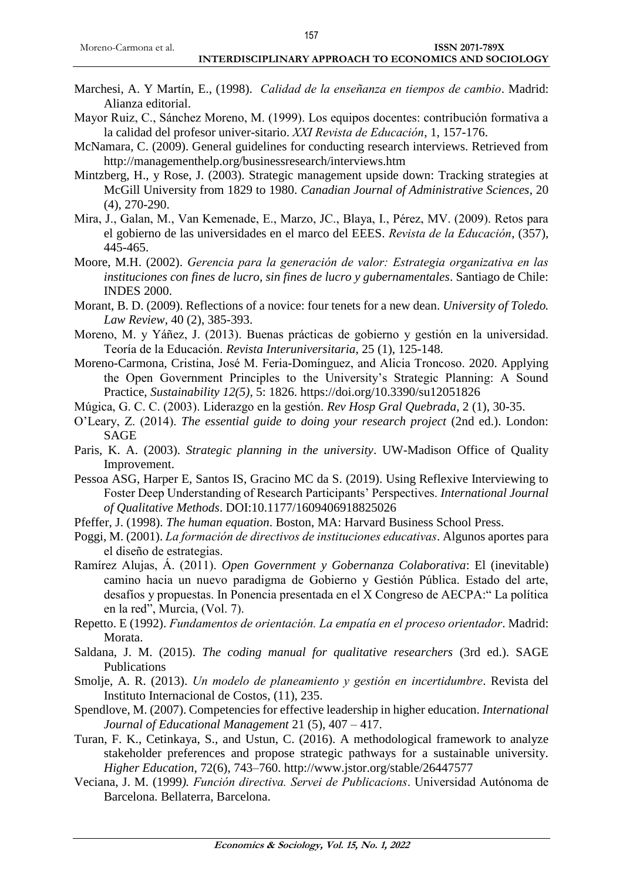#### **INTERDISCIPLINARY APPROACH TO ECONOMICS AND SOCIOLOGY**

- Marchesi, A. Y Martín, E., (1998). *Calidad de la enseñanza en tiempos de cambio*. Madrid: Alianza editorial.
- Mayor Ruiz, C., Sánchez Moreno, M. (1999). Los equipos docentes: contribución formativa a la calidad del profesor univer-sitario. *XXI Revista de Educación*, 1, 157-176.
- McNamara, C. (2009). General guidelines for conducting research interviews. Retrieved from http://managementhelp.org/businessresearch/interviews.htm
- Mintzberg, H., y Rose, J. (2003). Strategic management upside down: Tracking strategies at McGill University from 1829 to 1980. *Canadian Journal of Administrative Sciences*, 20 (4), 270-290.
- Mira, J., Galan, M., Van Kemenade, E., Marzo, JC., Blaya, I., Pérez, MV. (2009). Retos para el gobierno de las universidades en el marco del EEES. *Revista de la Educación*, (357), 445-465.
- Moore, M.H. (2002). *Gerencia para la generación de valor: Estrategia organizativa en las instituciones con fines de lucro, sin fines de lucro y gubernamentales*. Santiago de Chile: INDES 2000.
- Morant, B. D. (2009). Reflections of a novice: four tenets for a new dean. *University of Toledo. Law Review*, 40 (2), 385-393.
- Moreno, M. y Yáñez, J. (2013). Buenas prácticas de gobierno y gestión en la universidad. Teoría de la Educación. *Revista Interuniversitaria*, 25 (1), 125-148.
- Moreno-Carmona, Cristina, José M. Feria-Domínguez, and Alicia Troncoso. 2020. Applying the Open Government Principles to the University's Strategic Planning: A Sound Practice, *Sustainability 12(5),* 5: 1826. https://doi.org/10.3390/su12051826
- Múgica, G. C. C. (2003). Liderazgo en la gestión. *Rev Hosp Gral Quebrada*, 2 (1), 30-35.
- O'Leary, Z. (2014). *The essential guide to doing your research project* (2nd ed.). London: SAGE
- Paris, K. A. (2003). *Strategic planning in the university*. UW-Madison Office of Quality Improvement.
- Pessoa ASG, Harper E, Santos IS, Gracino MC da S. (2019). Using Reflexive Interviewing to Foster Deep Understanding of Research Participants' Perspectives. *International Journal of Qualitative Methods*. DOI:10.1177/1609406918825026
- Pfeffer, J. (1998). *The human equation*. Boston, MA: Harvard Business School Press.
- Poggi, M. (2001). *La formación de directivos de instituciones educativas*. Algunos aportes para el diseño de estrategias.
- Ramírez Alujas, Á. (2011). *Open Government y Gobernanza Colaborativa*: El (inevitable) camino hacia un nuevo paradigma de Gobierno y Gestión Pública. Estado del arte, desafíos y propuestas. In Ponencia presentada en el X Congreso de AECPA:" La política en la red", Murcia, (Vol. 7).
- Repetto. E (1992). *Fundamentos de orientación. La empatía en el proceso orientador*. Madrid: Morata.
- Saldana, J. M. (2015). *The coding manual for qualitative researchers* (3rd ed.). SAGE Publications
- Smolje, A. R. (2013). *Un modelo de planeamiento y gestión en incertidumbre*. Revista del Instituto Internacional de Costos, (11), 235.
- Spendlove, M. (2007). Competencies for effective leadership in higher education. *International Journal of Educational Management* 21 (5), 407 – 417.
- Turan, F. K., Cetinkaya, S., and Ustun, C. (2016). A methodological framework to analyze stakeholder preferences and propose strategic pathways for a sustainable university. *Higher Education*, 72(6), 743–760. http://www.jstor.org/stable/26447577
- Veciana, J. M. (1999*). Función directiva. Servei de Publicacions*. Universidad Autónoma de Barcelona. Bellaterra, Barcelona.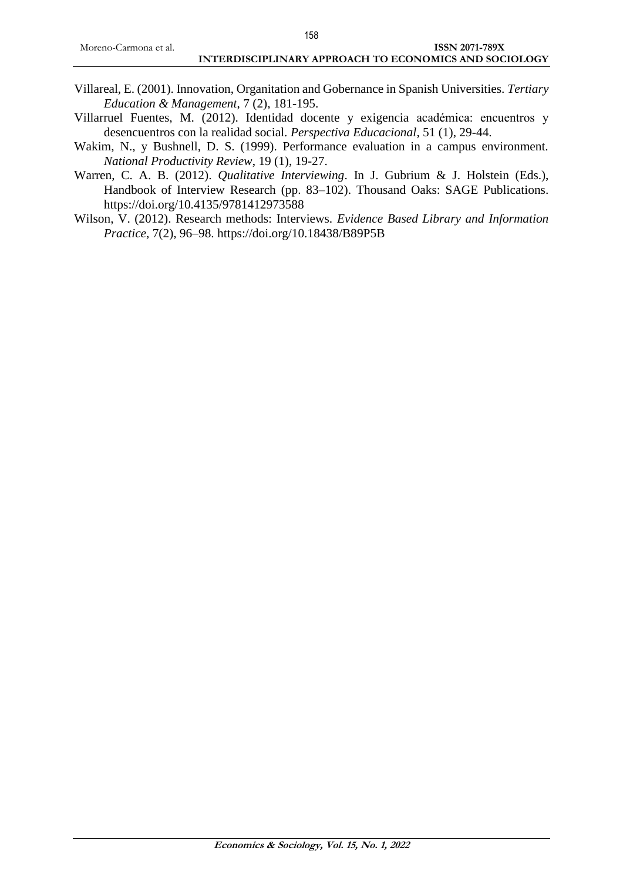- Villareal, E. (2001). Innovation, Organitation and Gobernance in Spanish Universities. *Tertiary Education & Management*, 7 (2), 181-195.
- Villarruel Fuentes, M. (2012). Identidad docente y exigencia académica: encuentros y desencuentros con la realidad social. *Perspectiva Educacional*, 51 (1), 29-44.
- Wakim, N., y Bushnell, D. S. (1999). Performance evaluation in a campus environment. *National Productivity Review*, 19 (1), 19-27.
- Warren, C. A. B. (2012). *Qualitative Interviewing*. In J. Gubrium & J. Holstein (Eds.), Handbook of Interview Research (pp. 83–102). Thousand Oaks: SAGE Publications. https://doi.org/10.4135/9781412973588
- Wilson, V. (2012). Research methods: Interviews*. Evidence Based Library and Information Practice*, 7(2), 96–98. https://doi.org/10.18438/B89P5B